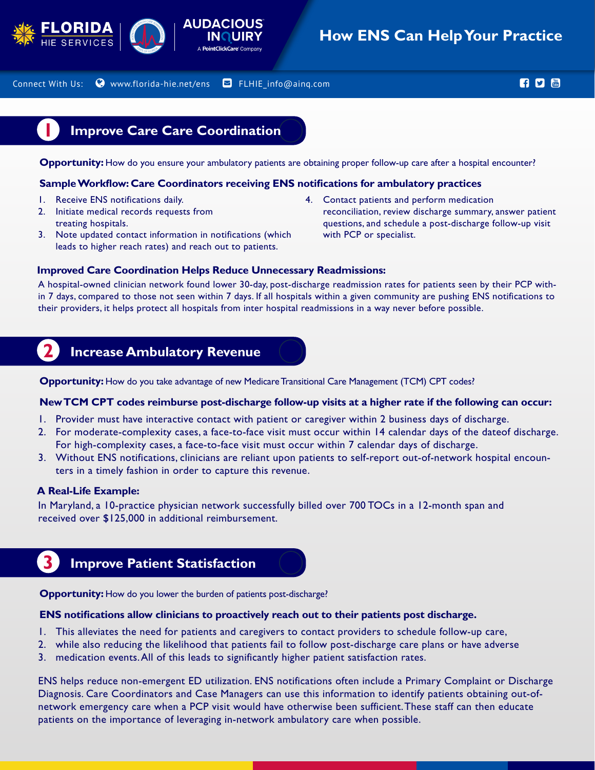



## **How ENS Can Help Your Practice**

Connect With Us:  $\bullet$  www.florida-hie.net/ens  $\bullet$  FLHIE info@ainq.com and the set of the set of  $\bullet$   $\bullet$ 

### **1 Improve Care Care Coordination**

**Opportunity:** How do you ensure your ambulatory patients are obtaining proper follow-up care after a hospital encounter?

#### **Sample Workflow: Care Coordinators receiving ENS notifications for ambulatory practices**

- 1. Receive ENS notifications daily.
- 2. Initiate medical records requests from treating hospitals.
- 3. Note updated contact information in notifications (which leads to higher reach rates) and reach out to patients.
- 4. Contact patients and perform medication reconciliation, review discharge summary, answer patient questions, and schedule a post-discharge follow-up visit with PCP or specialist.

#### **Improved Care Coordination Helps Reduce Unnecessary Readmissions:**

A hospital-owned clinician network found lower 30-day, post-discharge readmission rates for patients seen by their PCP within 7 days, compared to those not seen within 7 days. If all hospitals within a given community are pushing ENS notifications to their providers, it helps protect all hospitals from inter hospital readmissions in a way never before possible.

## **2 Increase Ambulatory Revenue**

**Opportunity:** How do you take advantage of new Medicare Transitional Care Management (TCM) CPT codes?

#### **New TCM CPT codes reimburse post-discharge follow-up visits at a higher rate if the following can occur:**

- 1. Provider must have interactive contact with patient or caregiver within 2 business days of discharge.
- 2. For moderate-complexity cases, a face-to-face visit must occur within 14 calendar days of the dateof discharge. For high-complexity cases, a face-to-face visit must occur within 7 calendar days of discharge.
- 3. Without ENS notifications, clinicians are reliant upon patients to self-report out-of-network hospital encounters in a timely fashion in order to capture this revenue.

#### **A Real-Life Example:**

In Maryland, a 10-practice physician network successfully billed over 700 TOCs in a 12-month span and received over \$125,000 in additional reimbursement.

# **3 Improve Patient Statisfaction**

**Opportunity:** How do you lower the burden of patients post-discharge?

#### **ENS notifications allow clinicians to proactively reach out to their patients post discharge.**

- 1. This alleviates the need for patients and caregivers to contact providers to schedule follow-up care,
- 2. while also reducing the likelihood that patients fail to follow post-discharge care plans or have adverse
- 3. medication events. All of this leads to significantly higher patient satisfaction rates.

ENS helps reduce non-emergent ED utilization. ENS notifications often include a Primary Complaint or Discharge Diagnosis. Care Coordinators and Case Managers can use this information to identify patients obtaining out-ofnetwork emergency care when a PCP visit would have otherwise been sufficient. These staff can then educate patients on the importance of leveraging in-network ambulatory care when possible.